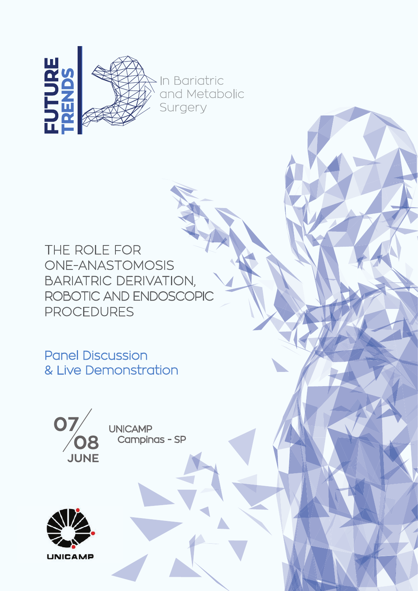

THE ROLE FOR ONE-ANASTOMOSIS BARIATRIC DERIVATION, ROBOTIC AND ENDOSCOPIC PROCEDURES

Panel Discussion & Live Demonstration



**UNICAMP Campinas - SP** 

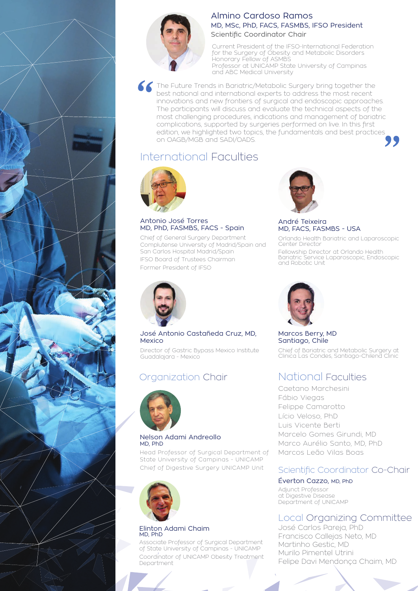

# Almino Cardoso Ramos MD, MSc, PhD, FACS, FASMBS, IFSO President Scientific Coordinator Chair

Current President of the IFSO-International Federation for the Surgery of Obesity and Metabolic Disorders Honorary Fellow of ASMBS Professor at UNICAMP State University of Campinas and ABC Medical University

The Future Trends in Bariatric/Metabolic Surgery bring together the best national and international experts to address the most recent innovations and new frontiers of surgical and endoscopic approaches. The participants will discuss and evaluate the technical aspects of the most challenging procedures, indications and management of bariatric complications, supported by surgeries performed on live. In this first edition, we highlighted two topics, the fundamentals and best practices on OAGB/MGB and SADI/OADS.

# International Faculties



Antonio José Torres MD, PhD, FASMBS, FACS - Spain

Chief of General Surgery Department Complutense University of Madrid/Spain and San Carlos Hospital Madrid/Spain IFSO Board of Trustees Chairman Former President of IFSO



#### André Teixeira MD, FACS, FASMBS - USA

Orlando Health Bariatric and Laparoscopic Center Director Fellowship Director at Orlando Health Bariatric Service Laparoscopic, Endoscopic and Robotic Unit



### José Antonio Castañeda Cruz, MD, Mexico

Director of Gastric Bypass Mexico Institute Guadalajara - Mexico

# Organization Chair



### Nelson Adami Andreollo MD, PhD

Head Professor of Surgical Department of State University of Campinas - UNICAMP Chief of Digestive Surgery UNICAMP Unit



### Elinton Adami Chaim MD, PhD

Associate Professor of Surgical Department of State University of Campinas - UNICAMP Coordinator of UNICAMP Obesity Treatment Department



Marcos Berry, MD Santiago, Chile Chief of Bariatric and Metabolic Surgery at Clinica Las Condes, Santiago-Chilend Clinic

# National Faculties

Caetano Marchesini Fábio Viegas Felippe Camarotto Lício Veloso, PhD Luis Vicente Berti Marcelo Gomes Girundi, MD Marco Aurélio Santo, MD, PhD Marcos Leão Vilas Boas

# Scientific Coordinator Co-Chair

# Éverton Cazzo, MD, PhD

Adjunct Professor at Digestive Disease Department of UNICAMP

# Local Organizing Committee

José Carlos Pareja, PhD Francisco Callejas Neto, MD Martinho Gestic, MD Murilo Pimentel Utrini Felipe Davi Mendonça Chaim, MD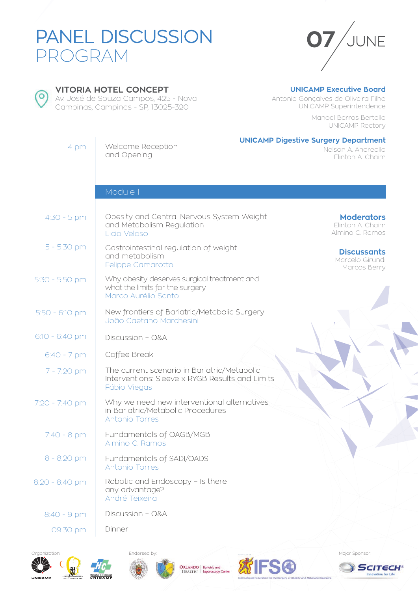# PANEL DISCUSSION PROGRAM





**VITORIA HOTEL CONCEPT**

Av. José de Souza Campos, 425 - Nova Campinas, Campinas - SP, 13025-320

# **UNICAMP Executive Board**

Antonio Gonçalves de Oliveira Filho UNICAMP Superintendence

> Manoel Barros Bertollo UNICAMP Rectory

| 4 pm           | Welcome Reception<br>and Opening                                                                               | <b>UNICAMP Digestive Surgery Department</b><br>Nelson A. Andreollo<br>Elinton A. Chaim |
|----------------|----------------------------------------------------------------------------------------------------------------|----------------------------------------------------------------------------------------|
|                |                                                                                                                |                                                                                        |
|                | Module I                                                                                                       |                                                                                        |
| $4:30 - 5$ pm  | Obesity and Central Nervous System Weight<br>and Metabolism Regulation<br>Licio Veloso                         | <b>Moderators</b><br>Elinton A. Chaim<br>Almino C. Ramos                               |
| $5 - 5:30$ pm  | Gastrointestinal regulation of weight<br>and metabolism<br>Felippe Camarotto                                   | <b>Discussants</b><br>Marcelo Girundi<br>Marcos Berry                                  |
| 5:30 - 5:50 pm | Why obesity deserves surgical treatment and<br>what the limits for the surgery<br>Marco Aurélio Santo          |                                                                                        |
| 5:50 - 6:10 pm | New frontiers of Bariatric/Metabolic Surgery<br>João Caetano Marchesini                                        |                                                                                        |
| 6:10 - 6:40 pm | Discussion - Q&A                                                                                               |                                                                                        |
| $6:40 - 7$ pm  | Coffee Break                                                                                                   |                                                                                        |
| 7 - 7:20 pm    | The current scenario in Bariatric/Metabolic<br>Interventions: Sleeve x RYGB Results and Limits<br>Fábio Viegas |                                                                                        |
| 7:20 - 7:40 pm | Why we need new interventional alternatives<br>in Bariatric/Metabolic Procedures<br>Antonio Torres             |                                                                                        |
| $7:40 - 8$ pm  | Fundamentals of OAGB/MGB<br>Almino C. Ramos                                                                    |                                                                                        |
| 8 - 8:20 pm    | Fundamentals of SADI/OADS<br>Antonio Torres                                                                    |                                                                                        |
| 8:20 - 8:40 pm | Robotic and Endoscopy - Is there<br>any advantage?<br>André Teixeira                                           |                                                                                        |
| 8:40 - 9 pm    | Discussion - Q&A                                                                                               |                                                                                        |
| 09:30 pm       | Dinner                                                                                                         |                                                                                        |











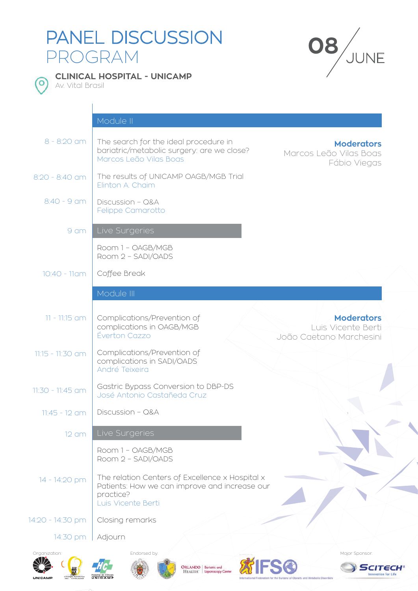# PANEL DISCUSSION PANEL DISCUSSION **08**<br>PROGRAM





**CLINICAL HOSPITAL - UNICAMP** 

Av. Vital Brasil

|                    | Module II                                                                                                                           |                                                                     |
|--------------------|-------------------------------------------------------------------------------------------------------------------------------------|---------------------------------------------------------------------|
| $8 - 8:20$ am      | The search for the ideal procedure in<br>bariatric/metabolic surgery: are we close?<br>Marcos Leão Vilas Boas                       | <b>Moderators</b><br>Marcos Leão Vilas Boas<br>Fábio Viegas         |
| $8:20 - 8:40$ am   | The results of UNICAMP OAGB/MGB Trial<br>Elinton A. Chaim                                                                           |                                                                     |
| $8:40 - 9$ am      | Discussion - Q&A<br>Felippe Camarotto                                                                                               |                                                                     |
| 9 am               | Live Surgeries                                                                                                                      |                                                                     |
|                    | Room 1 - OAGB/MGB<br>Room 2 - SADI/OADS                                                                                             |                                                                     |
| 10:40 - 11am       | Coffee Break                                                                                                                        |                                                                     |
|                    | Module III                                                                                                                          |                                                                     |
| $11 - 11:15$ am    | Complications/Prevention of<br>complications in OAGB/MGB<br>Éverton Cazzo                                                           | <b>Moderators</b><br>Lluis Vicente Berti<br>João Caetano Marchesini |
| $11:15 - 11:30$ am | Complications/Prevention of<br>complications in SADI/OADS<br>André Teixeira                                                         |                                                                     |
| 11:30 - 11:45 am   | Gastric Bypass Conversion to DBP-DS<br>José Antonio Castañeda Cruz                                                                  |                                                                     |
| $11:45 - 12$ am    | Discussion - Q&A                                                                                                                    |                                                                     |
| $12$ am            | Live Surgeries                                                                                                                      |                                                                     |
|                    | Room 1 - OAGB/MGB<br>Room 2 - SADI/OADS                                                                                             |                                                                     |
| 14 - 14:20 pm      | The relation Centers of Excellence x Hospital x<br>Patients: How we can improve and increase our<br>practice?<br>Luis Vicente Berti |                                                                     |
| 14:20 - 14:30 pm   | Closing remarks                                                                                                                     |                                                                     |
| 14:30 pm           | Adjourn                                                                                                                             |                                                                     |
| Organization:      | Endorsed by:                                                                                                                        | Major Sponsor:                                                      |



 $\left(\bigotimes_{\substack{\text{Chrognat matrix}\\ \text{Chrognat matrix}\\ \text{HGC}-\text{UNHCA}}} \right)$ 









SCITECH® **Innovation for Life**